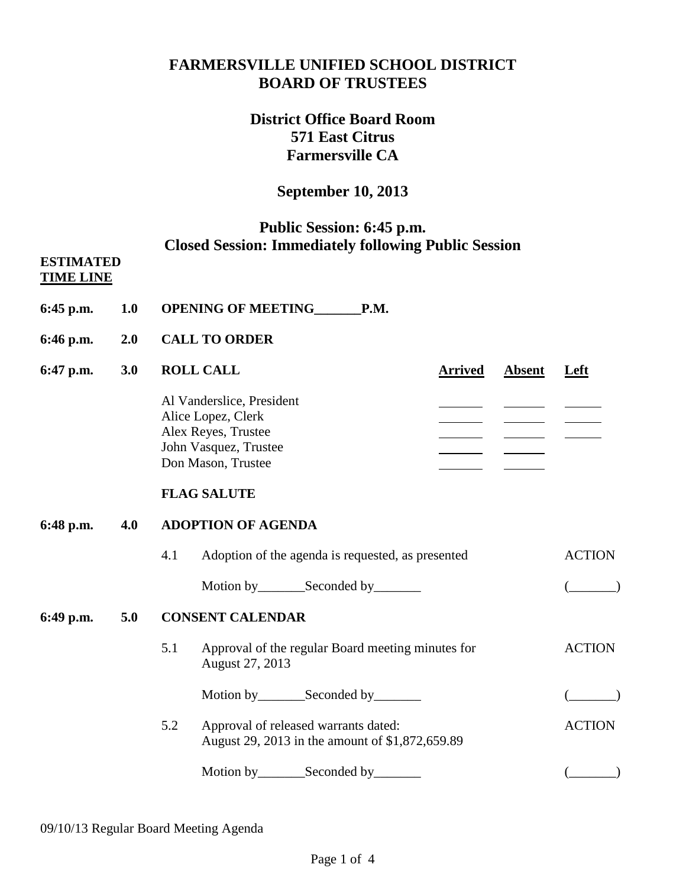## **FARMERSVILLE UNIFIED SCHOOL DISTRICT BOARD OF TRUSTEES**

# **District Office Board Room 571 East Citrus Farmersville CA**

## **September 10, 2013**

## **Public Session: 6:45 p.m. Closed Session: Immediately following Public Session**

#### **ESTIMATED TIME LINE**

- **6:45 p.m. 1.0 OPENING OF MEETING\_\_\_\_\_\_\_P.M.**
- **6:46 p.m. 2.0 CALL TO ORDER**
- **6:47 p.m. 3.0 ROLL CALL Arrived Absent Left** Al Vanderslice, President Alice Lopez, Clerk and the contract of the contract of the contract of the contract of the contract of the contract of the contract of the contract of the contract of the contract of the contract of the contract of the con Alex Reyes, Trustee John Vasquez, Trustee Don Mason, Trustee

### **FLAG SALUTE**

### **6:48 p.m. 4.0 ADOPTION OF AGENDA**

4.1 Adoption of the agenda is requested, as presented ACTION Motion by Seconded by (2002)

# **6:49 p.m. 5.0 CONSENT CALENDAR**

- 5.1 Approval of the regular Board meeting minutes for ACTION August 27, 2013 Motion by Seconded by (Compact of Compact of Compact of Compact of Compact of Compact of Compact of Compact of Compact of Compact of Compact of Compact of Compact of Compact of Compact of Compact of Compact of Compact of C
- 5.2 Approval of released warrants dated: ACTION August 29, 2013 in the amount of \$1,872,659.89
	- Motion by Seconded by (Compact of Compact of Compact of Compact of Compact of Compact of Compact of Compact of Compact of Compact of Compact of Compact of Compact of Compact of Compact of Compact of Compact of Compact of C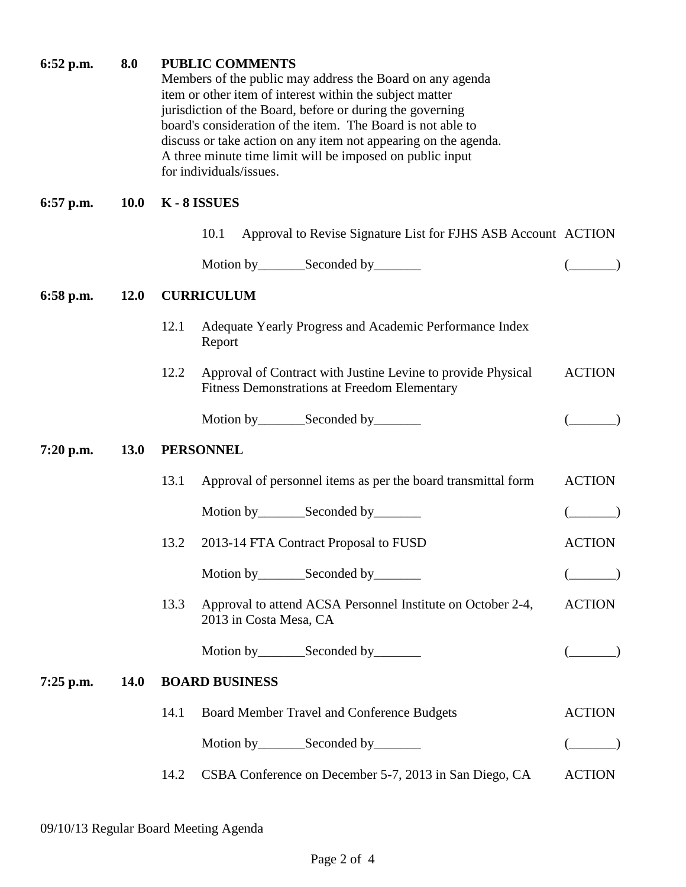| $6:52$ p.m. | 8.0         | <b>PUBLIC COMMENTS</b><br>Members of the public may address the Board on any agenda<br>item or other item of interest within the subject matter<br>jurisdiction of the Board, before or during the governing<br>board's consideration of the item. The Board is not able to<br>discuss or take action on any item not appearing on the agenda.<br>A three minute time limit will be imposed on public input<br>for individuals/issues. |               |  |  |
|-------------|-------------|----------------------------------------------------------------------------------------------------------------------------------------------------------------------------------------------------------------------------------------------------------------------------------------------------------------------------------------------------------------------------------------------------------------------------------------|---------------|--|--|
| $6:57$ p.m. | <b>10.0</b> | K-8 ISSUES                                                                                                                                                                                                                                                                                                                                                                                                                             |               |  |  |
|             |             | 10.1<br>Approval to Revise Signature List for FJHS ASB Account ACTION                                                                                                                                                                                                                                                                                                                                                                  |               |  |  |
|             |             |                                                                                                                                                                                                                                                                                                                                                                                                                                        |               |  |  |
| 6:58 p.m.   | <b>12.0</b> | <b>CURRICULUM</b>                                                                                                                                                                                                                                                                                                                                                                                                                      |               |  |  |
|             |             | Adequate Yearly Progress and Academic Performance Index<br>12.1<br>Report                                                                                                                                                                                                                                                                                                                                                              |               |  |  |
|             |             | 12.2<br>Approval of Contract with Justine Levine to provide Physical<br><b>Fitness Demonstrations at Freedom Elementary</b>                                                                                                                                                                                                                                                                                                            | <b>ACTION</b> |  |  |
|             |             | Motion by__________Seconded by__________                                                                                                                                                                                                                                                                                                                                                                                               |               |  |  |
| $7:20$ p.m. | <b>13.0</b> | <b>PERSONNEL</b>                                                                                                                                                                                                                                                                                                                                                                                                                       |               |  |  |
|             |             | 13.1<br>Approval of personnel items as per the board transmittal form                                                                                                                                                                                                                                                                                                                                                                  | <b>ACTION</b> |  |  |
|             |             | Motion by __________ Seconded by _________                                                                                                                                                                                                                                                                                                                                                                                             |               |  |  |
|             |             | 13.2<br>2013-14 FTA Contract Proposal to FUSD                                                                                                                                                                                                                                                                                                                                                                                          | <b>ACTION</b> |  |  |
|             |             | Motion by ____________Seconded by ___________                                                                                                                                                                                                                                                                                                                                                                                          |               |  |  |
|             |             | 13.3<br>Approval to attend ACSA Personnel Institute on October 2-4,<br>2013 in Costa Mesa, CA                                                                                                                                                                                                                                                                                                                                          | <b>ACTION</b> |  |  |
|             |             |                                                                                                                                                                                                                                                                                                                                                                                                                                        |               |  |  |
| $7:25$ p.m. | <b>14.0</b> | <b>BOARD BUSINESS</b>                                                                                                                                                                                                                                                                                                                                                                                                                  |               |  |  |
|             |             | 14.1<br>Board Member Travel and Conference Budgets                                                                                                                                                                                                                                                                                                                                                                                     | <b>ACTION</b> |  |  |
|             |             |                                                                                                                                                                                                                                                                                                                                                                                                                                        |               |  |  |
|             |             | CSBA Conference on December 5-7, 2013 in San Diego, CA<br>14.2                                                                                                                                                                                                                                                                                                                                                                         | <b>ACTION</b> |  |  |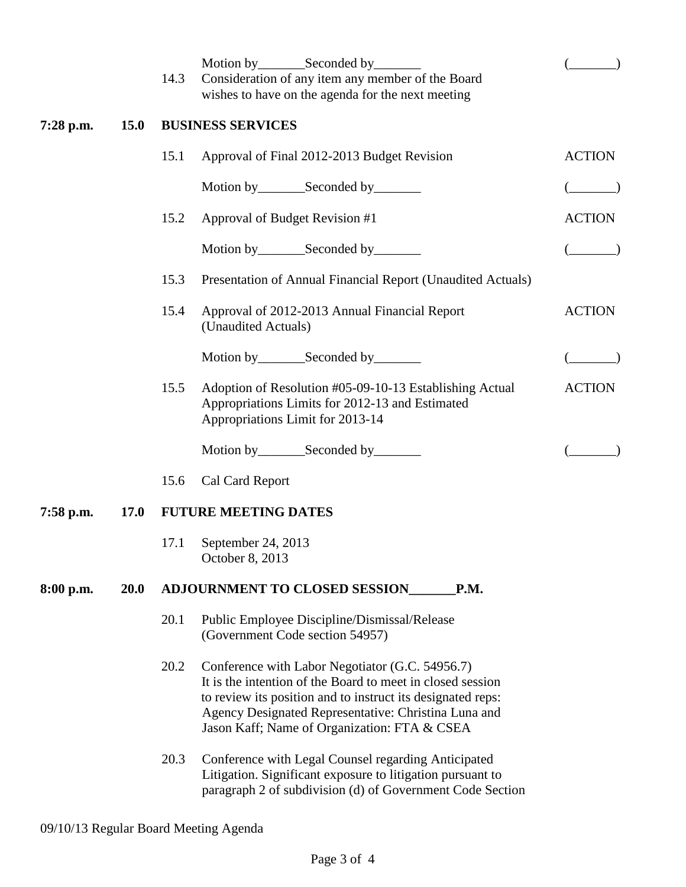|             |             | 14.3                     | Consideration of any item any member of the Board<br>wishes to have on the agenda for the next meeting                                                                                                                                                                               |               |  |  |  |
|-------------|-------------|--------------------------|--------------------------------------------------------------------------------------------------------------------------------------------------------------------------------------------------------------------------------------------------------------------------------------|---------------|--|--|--|
| $7:28$ p.m. | <b>15.0</b> | <b>BUSINESS SERVICES</b> |                                                                                                                                                                                                                                                                                      |               |  |  |  |
|             |             | 15.1                     | Approval of Final 2012-2013 Budget Revision                                                                                                                                                                                                                                          | <b>ACTION</b> |  |  |  |
|             |             |                          | Motion by __________ Seconded by _________                                                                                                                                                                                                                                           |               |  |  |  |
|             |             | 15.2                     | Approval of Budget Revision #1                                                                                                                                                                                                                                                       | <b>ACTION</b> |  |  |  |
|             |             |                          |                                                                                                                                                                                                                                                                                      |               |  |  |  |
|             |             | 15.3                     | Presentation of Annual Financial Report (Unaudited Actuals)                                                                                                                                                                                                                          |               |  |  |  |
|             |             | 15.4                     | Approval of 2012-2013 Annual Financial Report<br>(Unaudited Actuals)                                                                                                                                                                                                                 | <b>ACTION</b> |  |  |  |
|             |             |                          | Motion by_________Seconded by________                                                                                                                                                                                                                                                |               |  |  |  |
|             |             | 15.5                     | Adoption of Resolution #05-09-10-13 Establishing Actual<br>Appropriations Limits for 2012-13 and Estimated<br>Appropriations Limit for 2013-14                                                                                                                                       | <b>ACTION</b> |  |  |  |
|             |             |                          | Motion by__________Seconded by_________                                                                                                                                                                                                                                              |               |  |  |  |
|             |             | 15.6                     | Cal Card Report                                                                                                                                                                                                                                                                      |               |  |  |  |
| 7:58 p.m.   | <b>17.0</b> |                          | <b>FUTURE MEETING DATES</b>                                                                                                                                                                                                                                                          |               |  |  |  |
|             |             | 17.1                     | September 24, 2013<br>October 8, 2013                                                                                                                                                                                                                                                |               |  |  |  |
| 8:00 p.m.   | <b>20.0</b> |                          | <b>ADJOURNMENT TO CLOSED SESSION</b><br>P.M.                                                                                                                                                                                                                                         |               |  |  |  |
|             |             | 20.1                     | Public Employee Discipline/Dismissal/Release<br>(Government Code section 54957)                                                                                                                                                                                                      |               |  |  |  |
|             |             | 20.2                     | Conference with Labor Negotiator (G.C. 54956.7)<br>It is the intention of the Board to meet in closed session<br>to review its position and to instruct its designated reps:<br>Agency Designated Representative: Christina Luna and<br>Jason Kaff; Name of Organization: FTA & CSEA |               |  |  |  |
|             |             | 20.3                     | Conference with Legal Counsel regarding Anticipated<br>Litigation. Significant exposure to litigation pursuant to<br>paragraph 2 of subdivision (d) of Government Code Section                                                                                                       |               |  |  |  |